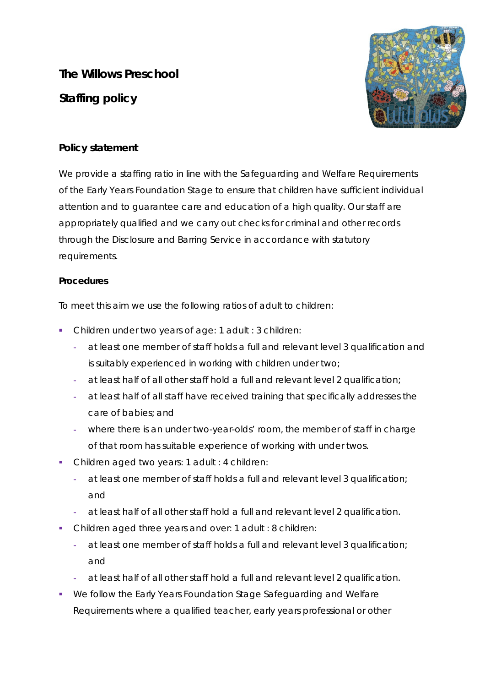**The Willows Preschool Staffing policy** 



## **Policy statement**

We provide a staffing ratio in line with the Safeguarding and Welfare Requirements of the Early Years Foundation Stage to ensure that children have sufficient individual attention and to guarantee care and education of a high quality. Our staff are appropriately qualified and we carry out checks for criminal and other records through the Disclosure and Barring Service in accordance with statutory requirements.

## **Procedures**

To meet this aim we use the following ratios of adult to children:

- Children under two years of age: 1 adult : 3 children:
	- **-** at least one member of staff holds a full and relevant level 3 qualification and is suitably experienced in working with children under two;
	- **-** at least half of all other staff hold a full and relevant level 2 qualification;
	- **-** at least half of all staff have received training that specifically addresses the care of babies; and
	- **-** where there is an under two-year-olds' room, the member of staff in charge of that room has suitable experience of working with under twos.
- Children aged two years: 1 adult : 4 children:
	- **-** at least one member of staff holds a full and relevant level 3 qualification; and
	- **-** at least half of all other staff hold a full and relevant level 2 qualification.
- Children aged three years and over: 1 adult : 8 children:
	- **-** at least one member of staff holds a full and relevant level 3 qualification; and
	- **-** at least half of all other staff hold a full and relevant level 2 qualification.
- We follow the Early Years Foundation Stage Safeguarding and Welfare Requirements where a qualified teacher, early years professional or other